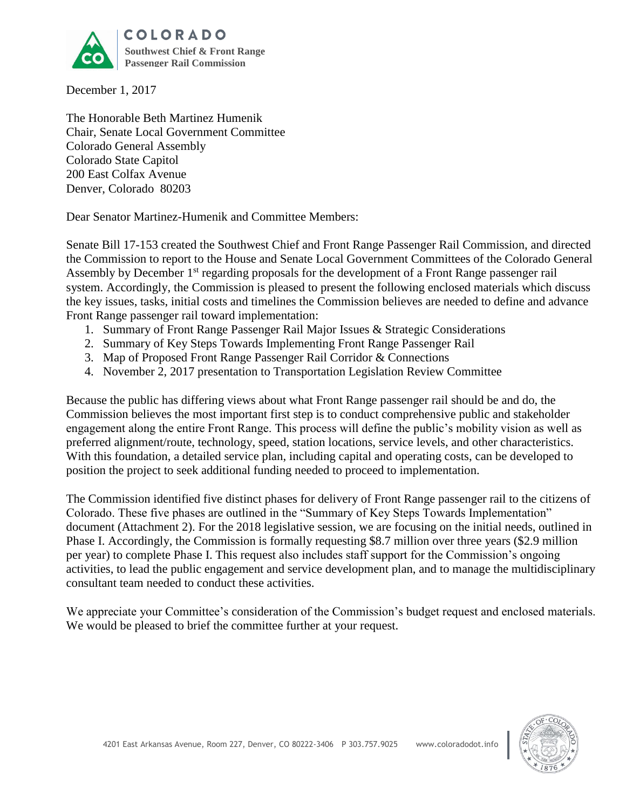

December 1, 2017

The Honorable Beth Martinez Humenik Chair, Senate Local Government Committee Colorado General Assembly Colorado State Capitol 200 East Colfax Avenue Denver, Colorado 80203

Dear Senator Martinez-Humenik and Committee Members:

Senate Bill 17-153 created the Southwest Chief and Front Range Passenger Rail Commission, and directed the Commission to report to the House and Senate Local Government Committees of the Colorado General Assembly by December 1<sup>st</sup> regarding proposals for the development of a Front Range passenger rail system. Accordingly, the Commission is pleased to present the following enclosed materials which discuss the key issues, tasks, initial costs and timelines the Commission believes are needed to define and advance Front Range passenger rail toward implementation:

- 1. Summary of Front Range Passenger Rail Major Issues & Strategic Considerations
- 2. Summary of Key Steps Towards Implementing Front Range Passenger Rail
- 3. Map of Proposed Front Range Passenger Rail Corridor & Connections
- 4. November 2, 2017 presentation to Transportation Legislation Review Committee

Because the public has differing views about what Front Range passenger rail should be and do, the Commission believes the most important first step is to conduct comprehensive public and stakeholder engagement along the entire Front Range. This process will define the public's mobility vision as well as preferred alignment/route, technology, speed, station locations, service levels, and other characteristics. With this foundation, a detailed service plan, including capital and operating costs, can be developed to position the project to seek additional funding needed to proceed to implementation.

The Commission identified five distinct phases for delivery of Front Range passenger rail to the citizens of Colorado. These five phases are outlined in the "Summary of Key Steps Towards Implementation" document (Attachment 2). For the 2018 legislative session, we are focusing on the initial needs, outlined in Phase I. Accordingly, the Commission is formally requesting \$8.7 million over three years (\$2.9 million per year) to complete Phase I. This request also includes staff support for the Commission's ongoing activities, to lead the public engagement and service development plan, and to manage the multidisciplinary consultant team needed to conduct these activities.

We appreciate your Committee's consideration of the Commission's budget request and enclosed materials. We would be pleased to brief the committee further at your request.